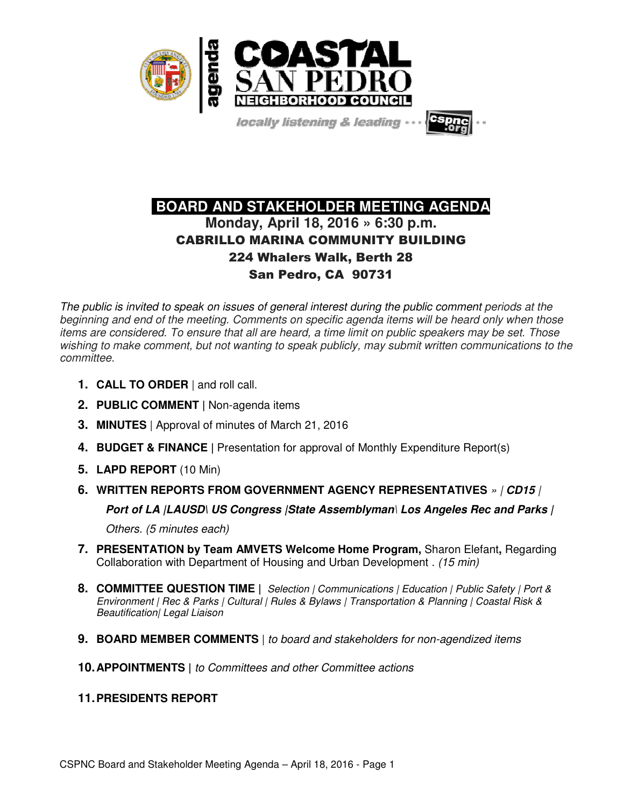

locally listening & leading

# **BOARD AND STAKEHOLDER MEETING AGENDA Monday, April 18, 2016 » 6:30 p.m.**  CABRILLO MARINA COMMUNITY BUILDING 224 Whalers Walk, Berth 28 San Pedro, CA 90731

The public is invited to speak on issues of general interest during the public comment periods at the beginning and end of the meeting. Comments on specific agenda items will be heard only when those items are considered. To ensure that all are heard, a time limit on public speakers may be set. Those wishing to make comment, but not wanting to speak publicly, may submit written communications to the committee.

- **1. CALL TO ORDER** | and roll call.
- **2. PUBLIC COMMENT |** Non-agenda items
- **3. MINUTES** | Approval of minutes of March 21, 2016
- **4. BUDGET & FINANCE |** Presentation for approval of Monthly Expenditure Report(s)
- **5. LAPD REPORT** (10 Min)
- **6. WRITTEN REPORTS FROM GOVERNMENT AGENCY REPRESENTATIVES** » | **CD15** |

**Port of LA |LAUSD\ US Congress |State Assemblyman**\ **Los Angeles Rec and Parks |** 

Others. (5 minutes each)

- **7. PRESENTATION by Team AMVETS Welcome Home Program,** Sharon Elefant**,** Regarding Collaboration with Department of Housing and Urban Development . (15 min)
- **8. COMMITTEE QUESTION TIME |** Selection | Communications | Education | Public Safety | Port & Environment | Rec & Parks | Cultural | Rules & Bylaws | Transportation & Planning | Coastal Risk & Beautification| Legal Liaison
- **9. BOARD MEMBER COMMENTS** | to board and stakeholders for non-agendized items
- **10. APPOINTMENTS |** to Committees and other Committee actions
- **11. PRESIDENTS REPORT**